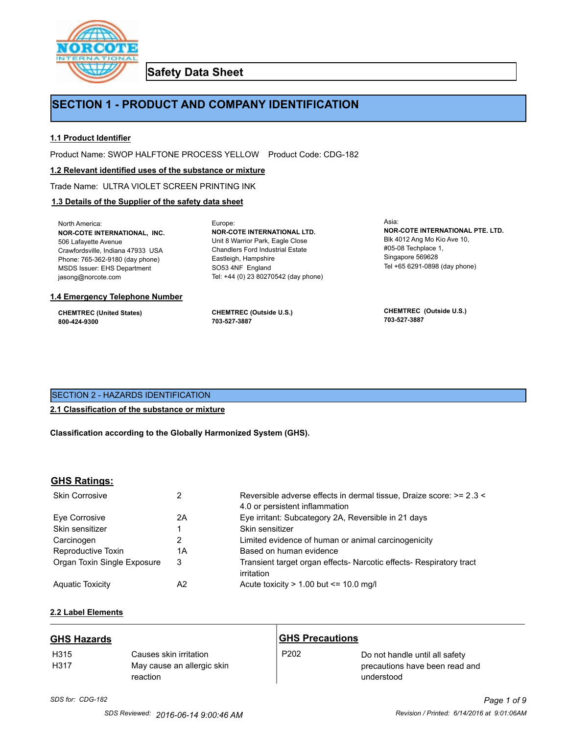

**Safety Data Sheet**

# **SECTION 1 - PRODUCT AND COMPANY IDENTIFICATION**

## **1.1 Product Identifier**

Product Name: SWOP HALFTONE PROCESS YELLOW Product Code: CDG-182

Europe:

#### **1.2 Relevant identified uses of the substance or mixture**

Trade Name: ULTRA VIOLET SCREEN PRINTING INK

### **1.3 Details of the Supplier of the safety data sheet**

North America: **NOR-COTE INTERNATIONAL, INC.** 506 Lafayette Avenue Crawfordsville, Indiana 47933 USA Phone: 765-362-9180 (day phone) MSDS Issuer: EHS Department jasong@norcote.com

#### **1.4 Emergency Telephone Number**

**CHEMTREC (United States) 800-424-9300**

**CHEMTREC (Outside U.S.) 703-527-3887**

Eastleigh, Hampshire SO53 4NF England

**NOR-COTE INTERNATIONAL LTD.** Unit 8 Warrior Park, Eagle Close Chandlers Ford Industrial Estate

Tel: +44 (0) 23 80270542 (day phone)

Asia: **NOR-COTE INTERNATIONAL PTE. LTD.** Blk 4012 Ang Mo Kio Ave 10, #05-08 Techplace 1, Singapore 569628 Tel +65 6291-0898 (day phone)

**CHEMTREC (Outside U.S.) 703-527-3887**

## SECTION 2 - HAZARDS IDENTIFICATION

#### **2.1 Classification of the substance or mixture**

**Classification according to the Globally Harmonized System (GHS).**

#### **GHS Ratings:**

| <b>Skin Corrosive</b>       | 2  | Reversible adverse effects in dermal tissue, Draize score: >= 2.3 <<br>4.0 or persistent inflammation |
|-----------------------------|----|-------------------------------------------------------------------------------------------------------|
| Eve Corrosive               | 2A | Eye irritant: Subcategory 2A, Reversible in 21 days                                                   |
| Skin sensitizer             |    | Skin sensitizer                                                                                       |
| Carcinogen                  |    | Limited evidence of human or animal carcinogenicity                                                   |
| Reproductive Toxin          | 1A | Based on human evidence                                                                               |
| Organ Toxin Single Exposure | 3  | Transient target organ effects- Narcotic effects- Respiratory tract<br>irritation                     |
| <b>Aguatic Toxicity</b>     | A2 | Acute toxicity $> 1.00$ but $\leq 10.0$ mg/l                                                          |

## **2.2 Label Elements**

| <b>GHS Hazards</b> |                                                                  | <b>GHS Precautions</b> |                                                                                |
|--------------------|------------------------------------------------------------------|------------------------|--------------------------------------------------------------------------------|
| H315<br>H317       | Causes skin irritation<br>May cause an allergic skin<br>reaction | P <sub>202</sub>       | Do not handle until all safety<br>precautions have been read and<br>understood |

## *SDS for: CDG-182 Page 1 of 9 SDS Reviewed: 2016-06-14 9:00:46 AM Revision / Printed: 6/14/2016 at 9:01:06AM*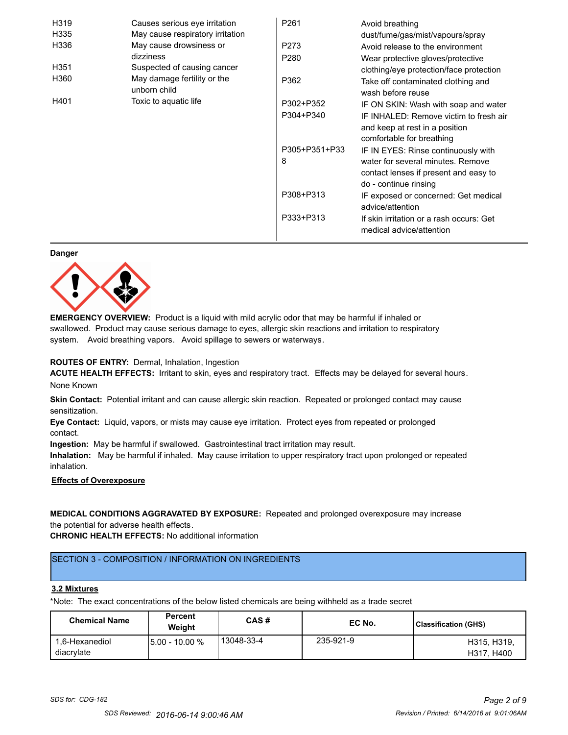| H319             | Causes serious eye irritation               | P <sub>261</sub> | Avoid breathing                                                      |
|------------------|---------------------------------------------|------------------|----------------------------------------------------------------------|
| H335             | May cause respiratory irritation            |                  | dust/fume/gas/mist/vapours/spray                                     |
| H336             | May cause drowsiness or                     | P273             | Avoid release to the environment                                     |
|                  | dizziness                                   | P <sub>280</sub> | Wear protective gloves/protective                                    |
| H <sub>351</sub> | Suspected of causing cancer                 |                  | clothing/eye protection/face protection                              |
| H360             | May damage fertility or the<br>unborn child | P362             | Take off contaminated clothing and<br>wash before reuse              |
| H401             | Toxic to aquatic life                       | P302+P352        | IF ON SKIN: Wash with soap and water                                 |
|                  |                                             | P304+P340        | IF INHALED: Remove victim to fresh air                               |
|                  |                                             |                  | and keep at rest in a position                                       |
|                  |                                             |                  | comfortable for breathing                                            |
|                  |                                             | P305+P351+P33    | IF IN EYES: Rinse continuously with                                  |
|                  |                                             | 8                | water for several minutes. Remove                                    |
|                  |                                             |                  | contact lenses if present and easy to                                |
|                  |                                             |                  | do - continue rinsing                                                |
|                  |                                             | P308+P313        | IF exposed or concerned: Get medical                                 |
|                  |                                             |                  | advice/attention                                                     |
|                  |                                             | P333+P313        | If skin irritation or a rash occurs: Get<br>medical advice/attention |

#### **Danger**



**EMERGENCY OVERVIEW:** Product is a liquid with mild acrylic odor that may be harmful if inhaled or swallowed. Product may cause serious damage to eyes, allergic skin reactions and irritation to respiratory system. Avoid breathing vapors. Avoid spillage to sewers or waterways.

#### **ROUTES OF ENTRY:** Dermal, Inhalation, Ingestion

**ACUTE HEALTH EFFECTS:** Irritant to skin, eyes and respiratory tract. Effects may be delayed for several hours. None Known

**Skin Contact:** Potential irritant and can cause allergic skin reaction. Repeated or prolonged contact may cause sensitization.

**Eye Contact:** Liquid, vapors, or mists may cause eye irritation. Protect eyes from repeated or prolonged contact.

**Ingestion:** May be harmful if swallowed. Gastrointestinal tract irritation may result.

**Inhalation:** May be harmful if inhaled. May cause irritation to upper respiratory tract upon prolonged or repeated inhalation.

## **Effects of Overexposure**

## **MEDICAL CONDITIONS AGGRAVATED BY EXPOSURE:** Repeated and prolonged overexposure may increase the potential for adverse health effects.

**CHRONIC HEALTH EFFECTS:** No additional information

## SECTION 3 - COMPOSITION / INFORMATION ON INGREDIENTS

#### **3.2 Mixtures**

\*Note: The exact concentrations of the below listed chemicals are being withheld as a trade secret

| <b>Chemical Name</b>         | <b>Percent</b><br>Weiaht | CAS#       | EC No.    | Classification (GHS)      |
|------------------------------|--------------------------|------------|-----------|---------------------------|
| 1.6-Hexanediol<br>diacrylate | 15.00 - 10.00 %          | 13048-33-4 | 235-921-9 | H315, H319.<br>H317, H400 |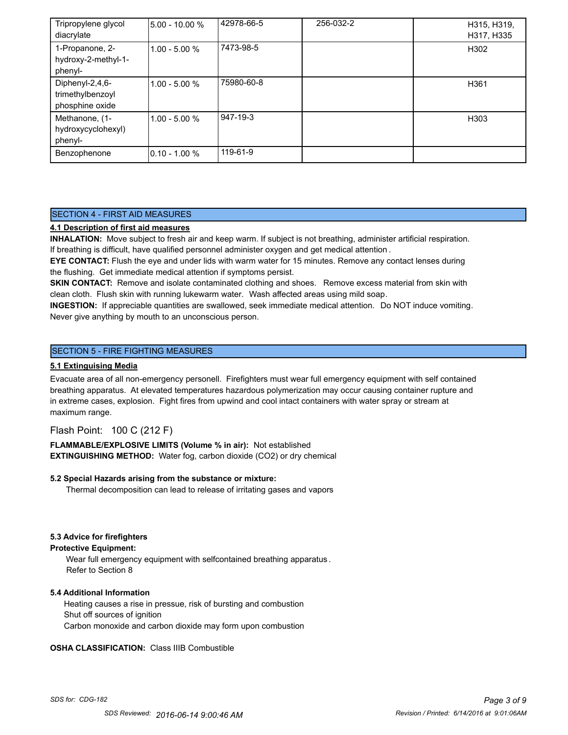| Tripropylene glycol<br>diacrylate                      | 5.00 - 10.00 %   | 42978-66-5 | 256-032-2 | H315, H319,<br>H317, H335 |
|--------------------------------------------------------|------------------|------------|-----------|---------------------------|
| 1-Propanone, 2-<br>hydroxy-2-methyl-1-<br>phenyl-      | $1.00 - 5.00 %$  | 7473-98-5  |           | H302                      |
| Diphenyl-2,4,6-<br>trimethylbenzoyl<br>phosphine oxide | $1.00 - 5.00 %$  | 75980-60-8 |           | H361                      |
| Methanone, (1-<br>hydroxycyclohexyl)<br>phenyl-        | $1.00 - 5.00 %$  | 947-19-3   |           | H303                      |
| Benzophenone                                           | $10.10 - 1.00 %$ | 119-61-9   |           |                           |

## SECTION 4 - FIRST AID MEASURES

## **4.1 Description of first aid measures**

**INHALATION:** Move subject to fresh air and keep warm. If subject is not breathing, administer artificial respiration. If breathing is difficult, have qualified personnel administer oxygen and get medical attention .

**EYE CONTACT:** Flush the eye and under lids with warm water for 15 minutes. Remove any contact lenses during the flushing. Get immediate medical attention if symptoms persist.

**SKIN CONTACT:** Remove and isolate contaminated clothing and shoes. Remove excess material from skin with clean cloth. Flush skin with running lukewarm water. Wash affected areas using mild soap.

**INGESTION:** If appreciable quantities are swallowed, seek immediate medical attention. Do NOT induce vomiting. Never give anything by mouth to an unconscious person.

## SECTION 5 - FIRE FIGHTING MEASURES

### **5.1 Extinguising Media**

Evacuate area of all non-emergency personell. Firefighters must wear full emergency equipment with self contained breathing apparatus. At elevated temperatures hazardous polymerization may occur causing container rupture and in extreme cases, explosion. Fight fires from upwind and cool intact containers with water spray or stream at maximum range.

## Flash Point: 100 C (212 F)

**FLAMMABLE/EXPLOSIVE LIMITS (Volume % in air):** Not established **EXTINGUISHING METHOD:** Water fog, carbon dioxide (CO2) or dry chemical

#### **5.2 Special Hazards arising from the substance or mixture:**

Thermal decomposition can lead to release of irritating gases and vapors

#### **5.3 Advice for firefighters**

#### **Protective Equipment:**

Wear full emergency equipment with selfcontained breathing apparatus . Refer to Section 8

#### **5.4 Additional Information**

 Heating causes a rise in pressue, risk of bursting and combustion Shut off sources of ignition Carbon monoxide and carbon dioxide may form upon combustion

#### **OSHA CLASSIFICATION:** Class IIIB Combustible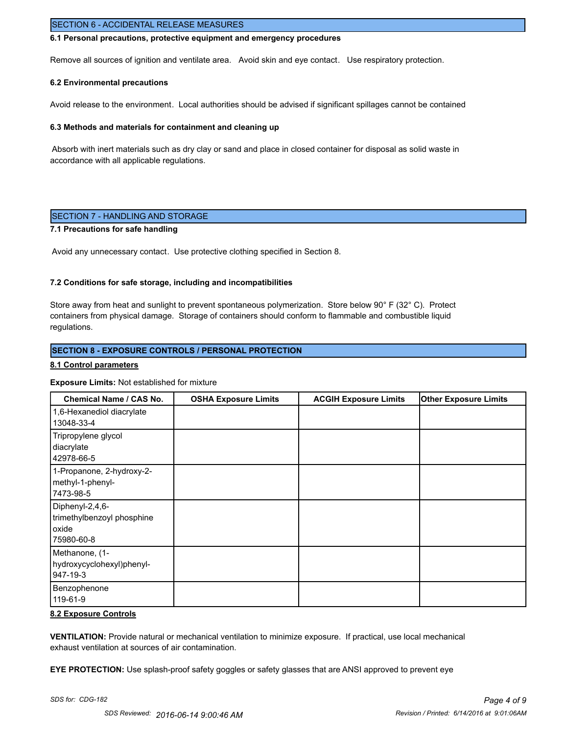## SECTION 6 - ACCIDENTAL RELEASE MEASURES

#### **6.1 Personal precautions, protective equipment and emergency procedures**

Remove all sources of ignition and ventilate area. Avoid skin and eye contact. Use respiratory protection.

#### **6.2 Environmental precautions**

Avoid release to the environment. Local authorities should be advised if significant spillages cannot be contained

#### **6.3 Methods and materials for containment and cleaning up**

 Absorb with inert materials such as dry clay or sand and place in closed container for disposal as solid waste in accordance with all applicable regulations.

## SECTION 7 - HANDLING AND STORAGE

## **7.1 Precautions for safe handling**

Avoid any unnecessary contact. Use protective clothing specified in Section 8.

#### **7.2 Conditions for safe storage, including and incompatibilities**

Store away from heat and sunlight to prevent spontaneous polymerization. Store below 90° F (32° C). Protect containers from physical damage. Storage of containers should conform to flammable and combustible liquid regulations.

#### **SECTION 8 - EXPOSURE CONTROLS / PERSONAL PROTECTION**

#### **8.1 Control parameters**

#### **Exposure Limits:** Not established for mixture

| <b>Chemical Name / CAS No.</b>                                       | <b>OSHA Exposure Limits</b> | <b>ACGIH Exposure Limits</b> | <b>Other Exposure Limits</b> |
|----------------------------------------------------------------------|-----------------------------|------------------------------|------------------------------|
| 1,6-Hexanediol diacrylate<br>13048-33-4                              |                             |                              |                              |
| Tripropylene glycol<br>diacrylate<br>42978-66-5                      |                             |                              |                              |
| 1-Propanone, 2-hydroxy-2-<br>methyl-1-phenyl-<br> 7473-98-5          |                             |                              |                              |
| Diphenyl-2,4,6-<br>trimethylbenzoyl phosphine<br>oxide<br>75980-60-8 |                             |                              |                              |
| Methanone, (1-<br>hydroxycyclohexyl)phenyl-<br>947-19-3              |                             |                              |                              |
| Benzophenone<br>119-61-9                                             |                             |                              |                              |

#### **8.2 Exposure Controls**

**VENTILATION:** Provide natural or mechanical ventilation to minimize exposure. If practical, use local mechanical exhaust ventilation at sources of air contamination.

**EYE PROTECTION:** Use splash-proof safety goggles or safety glasses that are ANSI approved to prevent eye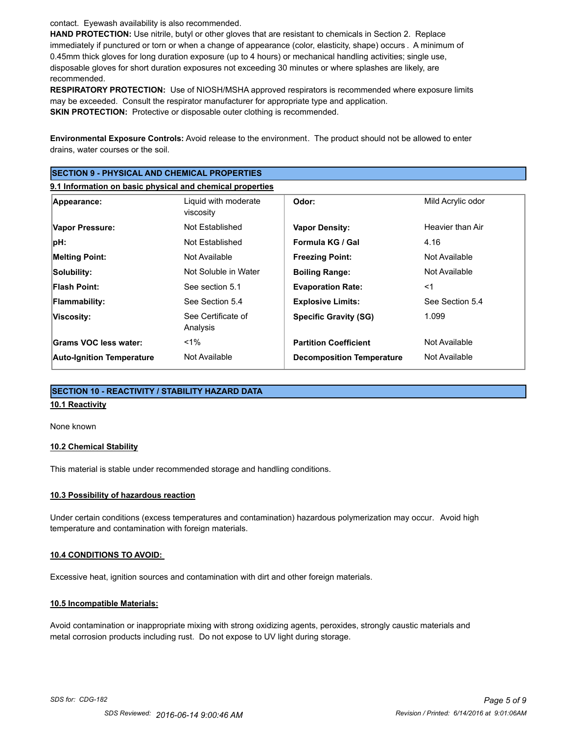contact. Eyewash availability is also recommended.

**HAND PROTECTION:** Use nitrile, butyl or other gloves that are resistant to chemicals in Section 2. Replace immediately if punctured or torn or when a change of appearance (color, elasticity, shape) occurs . A minimum of 0.45mm thick gloves for long duration exposure (up to 4 hours) or mechanical handling activities; single use, disposable gloves for short duration exposures not exceeding 30 minutes or where splashes are likely, are recommended.

**RESPIRATORY PROTECTION:** Use of NIOSH/MSHA approved respirators is recommended where exposure limits may be exceeded. Consult the respirator manufacturer for appropriate type and application. **SKIN PROTECTION:** Protective or disposable outer clothing is recommended.

**Environmental Exposure Controls:** Avoid release to the environment. The product should not be allowed to enter drains, water courses or the soil.

| <b>ISECTION 9 - PHYSICAL AND CHEMICAL PROPERTIES</b>      |                                   |                                  |                   |  |
|-----------------------------------------------------------|-----------------------------------|----------------------------------|-------------------|--|
| 9.1 Information on basic physical and chemical properties |                                   |                                  |                   |  |
| Appearance:                                               | Liquid with moderate<br>viscosity | Odor:                            | Mild Acrylic odor |  |
| Vapor Pressure:                                           | Not Established                   | <b>Vapor Density:</b>            | Heavier than Air  |  |
| pH:                                                       | Not Established                   | Formula KG / Gal                 | 4.16              |  |
| <b>Melting Point:</b>                                     | Not Available                     | <b>Freezing Point:</b>           | Not Available     |  |
| Solubility:                                               | Not Soluble in Water              | <b>Boiling Range:</b>            | Not Available     |  |
| Flash Point:                                              | See section 5.1                   | <b>Evaporation Rate:</b>         | $<$ 1             |  |
| <b>Flammability:</b>                                      | See Section 5.4                   | <b>Explosive Limits:</b>         | See Section 5.4   |  |
| Viscosity:                                                | See Certificate of<br>Analysis    | <b>Specific Gravity (SG)</b>     | 1.099             |  |
| Grams VOC less water:                                     | $1\%$                             | <b>Partition Coefficient</b>     | Not Available     |  |
| <b>Auto-Ignition Temperature</b>                          | Not Available                     | <b>Decomposition Temperature</b> | Not Available     |  |

# **SECTION 10 - REACTIVITY / STABILITY HAZARD DATA**

# **10.1 Reactivity**

None known

#### **10.2 Chemical Stability**

This material is stable under recommended storage and handling conditions.

#### **10.3 Possibility of hazardous reaction**

Under certain conditions (excess temperatures and contamination) hazardous polymerization may occur. Avoid high temperature and contamination with foreign materials.

#### **10.4 CONDITIONS TO AVOID:**

Excessive heat, ignition sources and contamination with dirt and other foreign materials.

#### **10.5 Incompatible Materials:**

Avoid contamination or inappropriate mixing with strong oxidizing agents, peroxides, strongly caustic materials and metal corrosion products including rust. Do not expose to UV light during storage.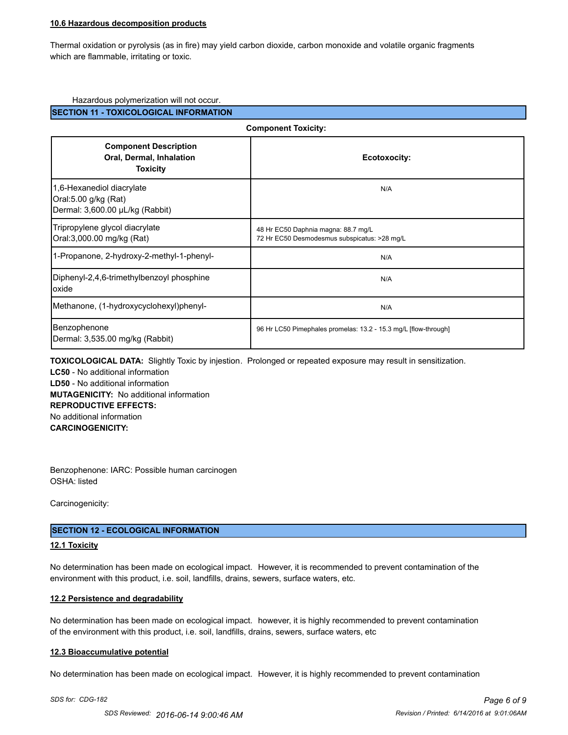#### **10.6 Hazardous decomposition products**

Thermal oxidation or pyrolysis (as in fire) may yield carbon dioxide, carbon monoxide and volatile organic fragments which are flammable, irritating or toxic.

#### Hazardous polymerization will not occur.

#### **SECTION 11 - TOXICOLOGICAL INFORMATION**

| <b>Component Toxicity:</b>                                                           |                                                                                     |  |
|--------------------------------------------------------------------------------------|-------------------------------------------------------------------------------------|--|
| <b>Component Description</b><br>Oral, Dermal, Inhalation<br><b>Toxicity</b>          | Ecotoxocity:                                                                        |  |
| 1,6-Hexanediol diacrylate<br>Oral:5.00 g/kg (Rat)<br>Dermal: 3,600.00 µL/kg (Rabbit) | N/A                                                                                 |  |
| Tripropylene glycol diacrylate<br>Oral:3,000.00 mg/kg (Rat)                          | 48 Hr EC50 Daphnia magna: 88.7 mg/L<br>72 Hr EC50 Desmodesmus subspicatus: >28 mg/L |  |
| 1-Propanone, 2-hydroxy-2-methyl-1-phenyl-                                            | N/A                                                                                 |  |
| Diphenyl-2,4,6-trimethylbenzoyl phosphine<br>loxide                                  | N/A                                                                                 |  |
| Methanone, (1-hydroxycyclohexyl)phenyl-                                              | N/A                                                                                 |  |
| Benzophenone<br>Dermal: 3,535.00 mg/kg (Rabbit)                                      | 96 Hr LC50 Pimephales promelas: 13.2 - 15.3 mg/L [flow-through]                     |  |

**TOXICOLOGICAL DATA:** Slightly Toxic by injestion. Prolonged or repeated exposure may result in sensitization. **LC50** - No additional information **LD50** - No additional information **MUTAGENICITY:** No additional information **REPRODUCTIVE EFFECTS:** No additional information **CARCINOGENICITY:**

Benzophenone: IARC: Possible human carcinogen OSHA: listed

Carcinogenicity:

#### **SECTION 12 - ECOLOGICAL INFORMATION**

#### **12.1 Toxicity**

No determination has been made on ecological impact. However, it is recommended to prevent contamination of the environment with this product, i.e. soil, landfills, drains, sewers, surface waters, etc.

#### **12.2 Persistence and degradability**

No determination has been made on ecological impact. however, it is highly recommended to prevent contamination of the environment with this product, i.e. soil, landfills, drains, sewers, surface waters, etc

#### **12.3 Bioaccumulative potential**

No determination has been made on ecological impact. However, it is highly recommended to prevent contamination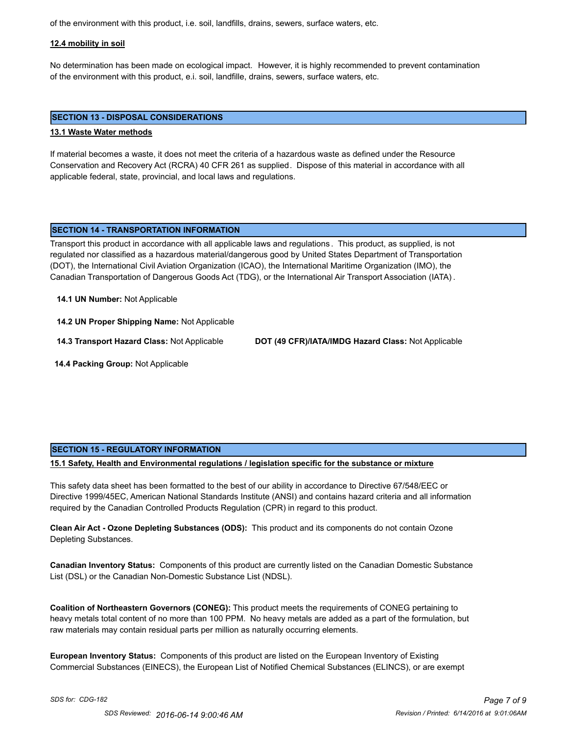of the environment with this product, i.e. soil, landfills, drains, sewers, surface waters, etc.

#### **12.4 mobility in soil**

No determination has been made on ecological impact. However, it is highly recommended to prevent contamination of the environment with this product, e.i. soil, landfille, drains, sewers, surface waters, etc.

#### **SECTION 13 - DISPOSAL CONSIDERATIONS**

#### **13.1 Waste Water methods**

If material becomes a waste, it does not meet the criteria of a hazardous waste as defined under the Resource Conservation and Recovery Act (RCRA) 40 CFR 261 as supplied. Dispose of this material in accordance with all applicable federal, state, provincial, and local laws and regulations.

## **SECTION 14 - TRANSPORTATION INFORMATION**

Transport this product in accordance with all applicable laws and regulations . This product, as supplied, is not regulated nor classified as a hazardous material/dangerous good by United States Department of Transportation (DOT), the International Civil Aviation Organization (ICAO), the International Maritime Organization (IMO), the Canadian Transportation of Dangerous Goods Act (TDG), or the International Air Transport Association (IATA) .

#### **14.1 UN Number:** Not Applicable

**14.2 UN Proper Shipping Name:** Not Applicable

**14.3 Transport Hazard Class:** Not Applicable **DOT (49 CFR)/IATA/IMDG Hazard Class:** Not Applicable

 **14.4 Packing Group:** Not Applicable

#### **SECTION 15 - REGULATORY INFORMATION**

**15.1 Safety, Health and Environmental regulations / legislation specific for the substance or mixture**

This safety data sheet has been formatted to the best of our ability in accordance to Directive 67/548/EEC or Directive 1999/45EC, American National Standards Institute (ANSI) and contains hazard criteria and all information required by the Canadian Controlled Products Regulation (CPR) in regard to this product.

**Clean Air Act - Ozone Depleting Substances (ODS):** This product and its components do not contain Ozone Depleting Substances.

**Canadian Inventory Status:** Components of this product are currently listed on the Canadian Domestic Substance List (DSL) or the Canadian Non-Domestic Substance List (NDSL).

**Coalition of Northeastern Governors (CONEG):** This product meets the requirements of CONEG pertaining to heavy metals total content of no more than 100 PPM. No heavy metals are added as a part of the formulation, but raw materials may contain residual parts per million as naturally occurring elements.

**European Inventory Status:** Components of this product are listed on the European Inventory of Existing Commercial Substances (EINECS), the European List of Notified Chemical Substances (ELINCS), or are exempt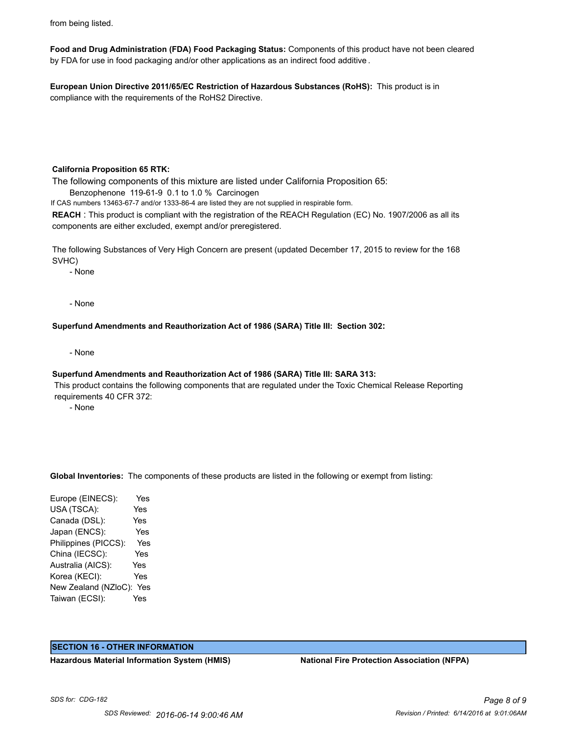from being listed.

**Food and Drug Administration (FDA) Food Packaging Status:** Components of this product have not been cleared by FDA for use in food packaging and/or other applications as an indirect food additive .

**European Union Directive 2011/65/EC Restriction of Hazardous Substances (RoHS):** This product is in compliance with the requirements of the RoHS2 Directive.

#### **California Proposition 65 RTK:**

The following components of this mixture are listed under California Proposition 65:

Benzophenone 119-61-9 0.1 to 1.0 % Carcinogen

If CAS numbers 13463-67-7 and/or 1333-86-4 are listed they are not supplied in respirable form.

**REACH** : This product is compliant with the registration of the REACH Regulation (EC) No. 1907/2006 as all its components are either excluded, exempt and/or preregistered.

The following Substances of Very High Concern are present (updated December 17, 2015 to review for the 168 SVHC)

- None

- None

**Superfund Amendments and Reauthorization Act of 1986 (SARA) Title III: Section 302:**

- None

#### **Superfund Amendments and Reauthorization Act of 1986 (SARA) Title III: SARA 313:**

 This product contains the following components that are regulated under the Toxic Chemical Release Reporting requirements 40 CFR 372:

- None

**Global Inventories:** The components of these products are listed in the following or exempt from listing:

Europe (EINECS): Yes USA (TSCA): Yes Canada (DSL): Yes Japan (ENCS): Yes Philippines (PICCS): Yes China (IECSC): Yes Australia (AICS): Yes Korea (KECI): Yes New Zealand (NZloC): Yes Taiwan (ECSI): Yes

#### **SECTION 16 - OTHER INFORMATION**

**Hazardous Material Information System (HMIS) National Fire Protection Association (NFPA)**